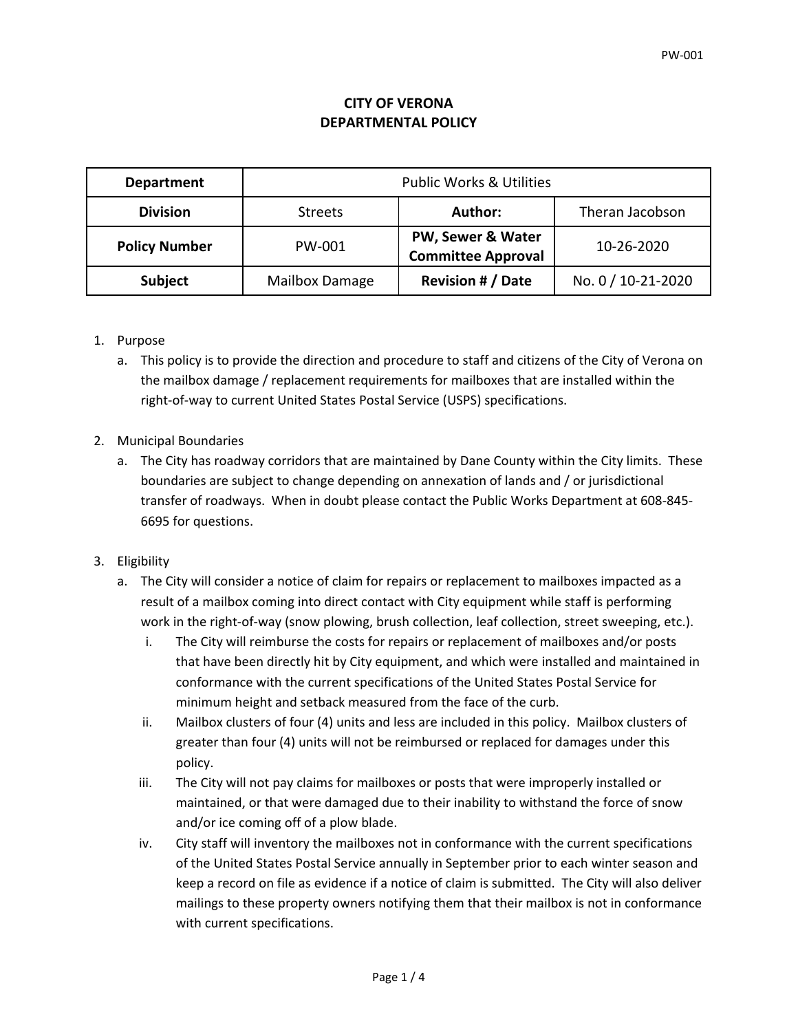## **CITY OF VERONA DEPARTMENTAL POLICY**

| <b>Department</b>    | <b>Public Works &amp; Utilities</b> |                                                |                    |
|----------------------|-------------------------------------|------------------------------------------------|--------------------|
| <b>Division</b>      | <b>Streets</b>                      | Author:                                        | Theran Jacobson    |
| <b>Policy Number</b> | PW-001                              | PW, Sewer & Water<br><b>Committee Approval</b> | 10-26-2020         |
| <b>Subject</b>       | Mailbox Damage                      | <b>Revision # / Date</b>                       | No. 0 / 10-21-2020 |

## 1. Purpose

- a. This policy is to provide the direction and procedure to staff and citizens of the City of Verona on the mailbox damage / replacement requirements for mailboxes that are installed within the right-of-way to current United States Postal Service (USPS) specifications.
- 2. Municipal Boundaries
	- a. The City has roadway corridors that are maintained by Dane County within the City limits. These boundaries are subject to change depending on annexation of lands and / or jurisdictional transfer of roadways. When in doubt please contact the Public Works Department at 608-845- 6695 for questions.
- 3. Eligibility
	- a. The City will consider a notice of claim for repairs or replacement to mailboxes impacted as a result of a mailbox coming into direct contact with City equipment while staff is performing work in the right-of-way (snow plowing, brush collection, leaf collection, street sweeping, etc.).
		- i. The City will reimburse the costs for repairs or replacement of mailboxes and/or posts that have been directly hit by City equipment, and which were installed and maintained in conformance with the current specifications of the United States Postal Service for minimum height and setback measured from the face of the curb.
		- ii. Mailbox clusters of four (4) units and less are included in this policy. Mailbox clusters of greater than four (4) units will not be reimbursed or replaced for damages under this policy.
		- iii. The City will not pay claims for mailboxes or posts that were improperly installed or maintained, or that were damaged due to their inability to withstand the force of snow and/or ice coming off of a plow blade.
		- iv. City staff will inventory the mailboxes not in conformance with the current specifications of the United States Postal Service annually in September prior to each winter season and keep a record on file as evidence if a notice of claim is submitted. The City will also deliver mailings to these property owners notifying them that their mailbox is not in conformance with current specifications.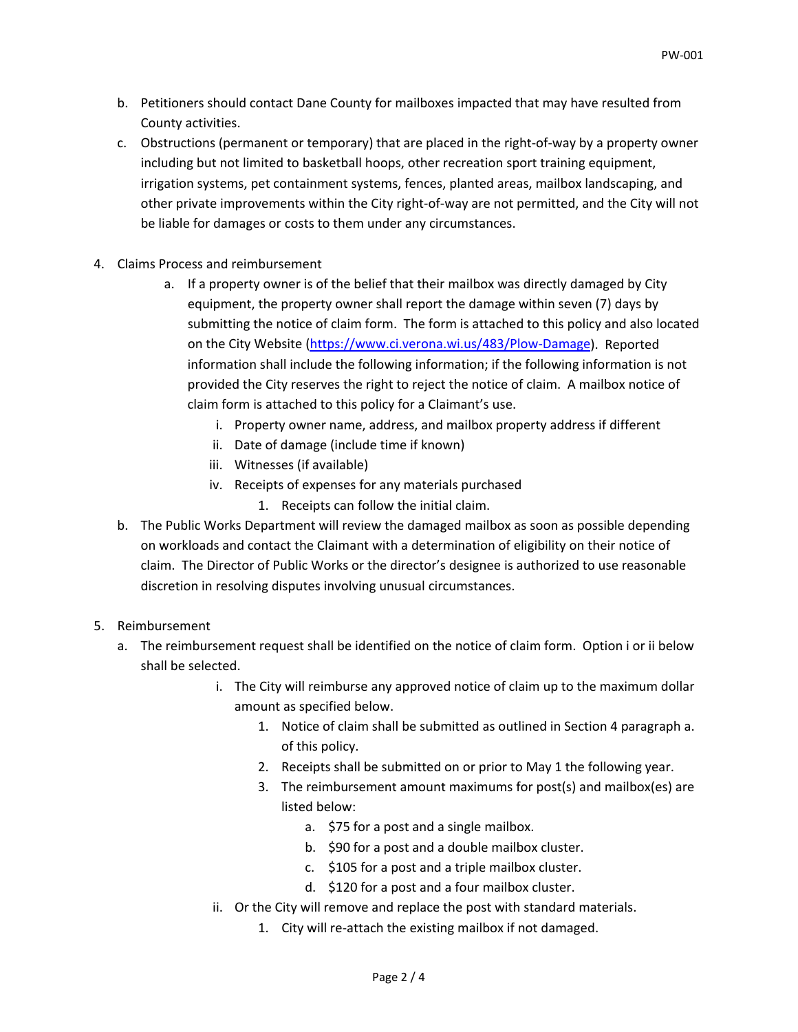- b. Petitioners should contact Dane County for mailboxes impacted that may have resulted from County activities.
- c. Obstructions (permanent or temporary) that are placed in the right-of-way by a property owner including but not limited to basketball hoops, other recreation sport training equipment, irrigation systems, pet containment systems, fences, planted areas, mailbox landscaping, and other private improvements within the City right-of-way are not permitted, and the City will not be liable for damages or costs to them under any circumstances.
- 4. Claims Process and reimbursement
	- a. If a property owner is of the belief that their mailbox was directly damaged by City equipment, the property owner shall report the damage within seven (7) days by submitting the notice of claim form. The form is attached to this policy and also located on the City Website [\(https://www.ci.verona.wi.us/483/Plow-Damage\)](https://www.ci.verona.wi.us/483/Plow-Damage). Reported information shall include the following information; if the following information is not provided the City reserves the right to reject the notice of claim. A mailbox notice of claim form is attached to this policy for a Claimant's use.
		- i. Property owner name, address, and mailbox property address if different
		- ii. Date of damage (include time if known)
		- iii. Witnesses (if available)
		- iv. Receipts of expenses for any materials purchased
			- 1. Receipts can follow the initial claim.
	- b. The Public Works Department will review the damaged mailbox as soon as possible depending on workloads and contact the Claimant with a determination of eligibility on their notice of claim. The Director of Public Works or the director's designee is authorized to use reasonable discretion in resolving disputes involving unusual circumstances.
- 5. Reimbursement
	- a. The reimbursement request shall be identified on the notice of claim form. Option i or ii below shall be selected.
		- i. The City will reimburse any approved notice of claim up to the maximum dollar amount as specified below.
			- 1. Notice of claim shall be submitted as outlined in Section 4 paragraph a. of this policy.
			- 2. Receipts shall be submitted on or prior to May 1 the following year.
			- 3. The reimbursement amount maximums for post(s) and mailbox(es) are listed below:
				- a. \$75 for a post and a single mailbox.
				- b. \$90 for a post and a double mailbox cluster.
				- c. \$105 for a post and a triple mailbox cluster.
				- d. \$120 for a post and a four mailbox cluster.
		- ii. Or the City will remove and replace the post with standard materials.
			- 1. City will re-attach the existing mailbox if not damaged.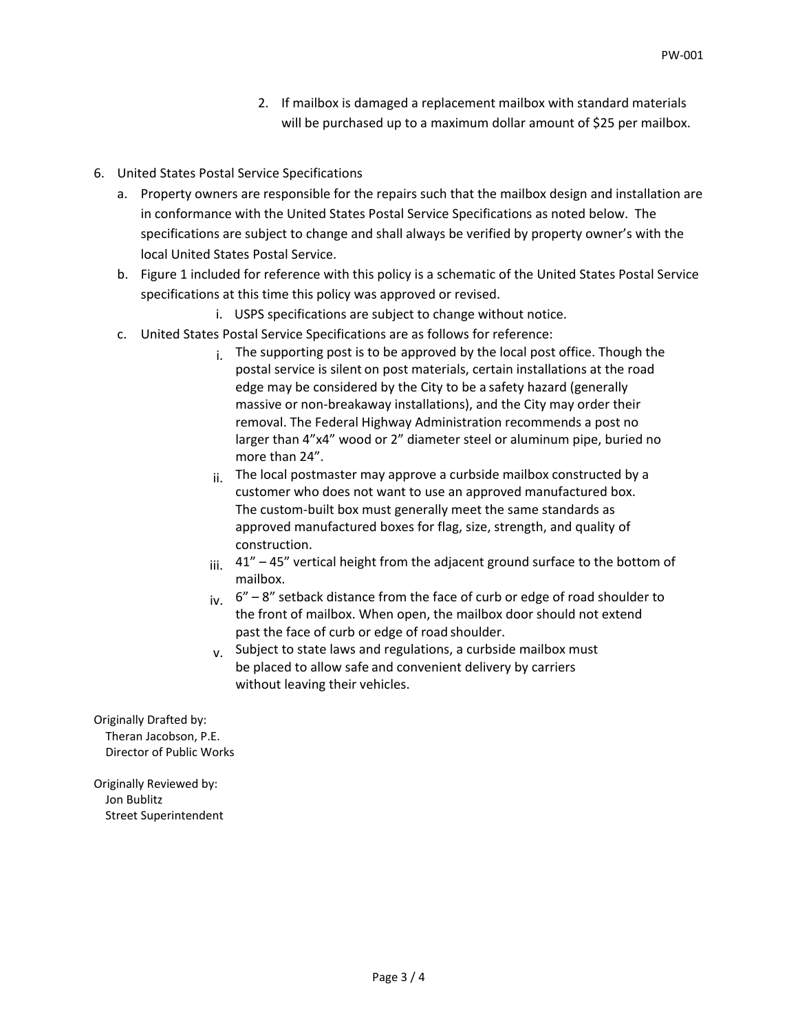- 2. If mailbox is damaged a replacement mailbox with standard materials will be purchased up to a maximum dollar amount of \$25 per mailbox.
- 6. United States Postal Service Specifications
	- a. Property owners are responsible for the repairs such that the mailbox design and installation are in conformance with the United States Postal Service Specifications as noted below. The specifications are subject to change and shall always be verified by property owner's with the local United States Postal Service.
	- b. Figure 1 included for reference with this policy is a schematic of the United States Postal Service specifications at this time this policy was approved or revised.
		- i. USPS specifications are subject to change without notice.
	- c. United States Postal Service Specifications are as follows for reference:
		- $i$ . The supporting post is to be approved by the local post office. Though the postal service is silent on post materials, certain installations at the road edge may be considered by the City to be a safety hazard (generally massive or non-breakaway installations), and the City may order their removal. The Federal Highway Administration recommends a post no larger than 4"x4" wood or 2" diameter steel or aluminum pipe, buried no more than 24".
		- $ii.$  The local postmaster may approve a curbside mailbox constructed by a customer who does not want to use an approved manufactured box. The custom-built box must generally meet the same standards as approved manufactured boxes for flag, size, strength, and quality of construction.
		- $iii.$  41" 45" vertical height from the adjacent ground surface to the bottom of mailbox.
		- $iv. 6'' 8''$  setback distance from the face of curb or edge of road shoulder to the front of mailbox. When open, the mailbox door should not extend past the face of curb or edge of road shoulder.
		- $v<sub>x</sub>$  Subject to state laws and regulations, a curbside mailbox must be placed to allow safe and convenient delivery by carriers without leaving their vehicles.

Originally Drafted by: Theran Jacobson, P.E. Director of Public Works

Originally Reviewed by: Jon Bublitz Street Superintendent